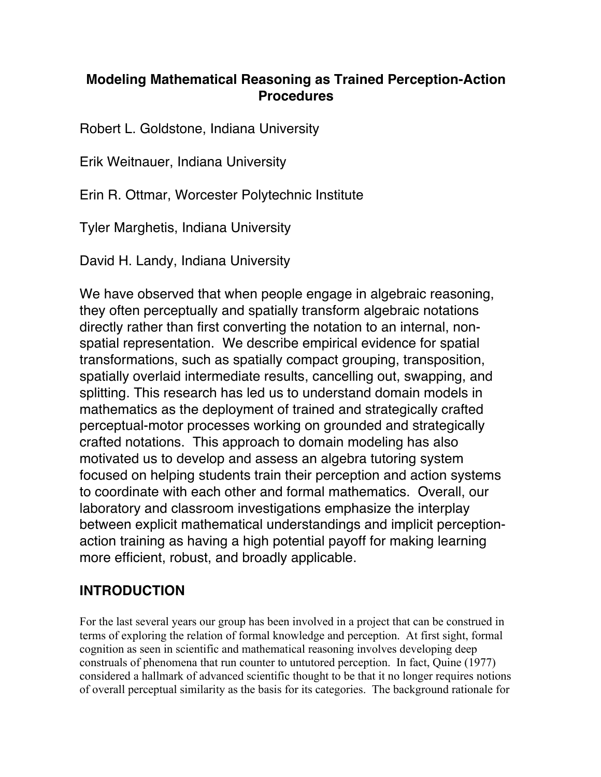# **Modeling Mathematical Reasoning as Trained Perception-Action Procedures**

Robert L. Goldstone, Indiana University

Erik Weitnauer, Indiana University

Erin R. Ottmar, Worcester Polytechnic Institute

Tyler Marghetis, Indiana University

David H. Landy, Indiana University

We have observed that when people engage in algebraic reasoning, they often perceptually and spatially transform algebraic notations directly rather than first converting the notation to an internal, nonspatial representation. We describe empirical evidence for spatial transformations, such as spatially compact grouping, transposition, spatially overlaid intermediate results, cancelling out, swapping, and splitting. This research has led us to understand domain models in mathematics as the deployment of trained and strategically crafted perceptual-motor processes working on grounded and strategically crafted notations. This approach to domain modeling has also motivated us to develop and assess an algebra tutoring system focused on helping students train their perception and action systems to coordinate with each other and formal mathematics. Overall, our laboratory and classroom investigations emphasize the interplay between explicit mathematical understandings and implicit perceptionaction training as having a high potential payoff for making learning more efficient, robust, and broadly applicable.

# **INTRODUCTION**

For the last several years our group has been involved in a project that can be construed in terms of exploring the relation of formal knowledge and perception. At first sight, formal cognition as seen in scientific and mathematical reasoning involves developing deep construals of phenomena that run counter to untutored perception. In fact, Quine (1977) considered a hallmark of advanced scientific thought to be that it no longer requires notions of overall perceptual similarity as the basis for its categories. The background rationale for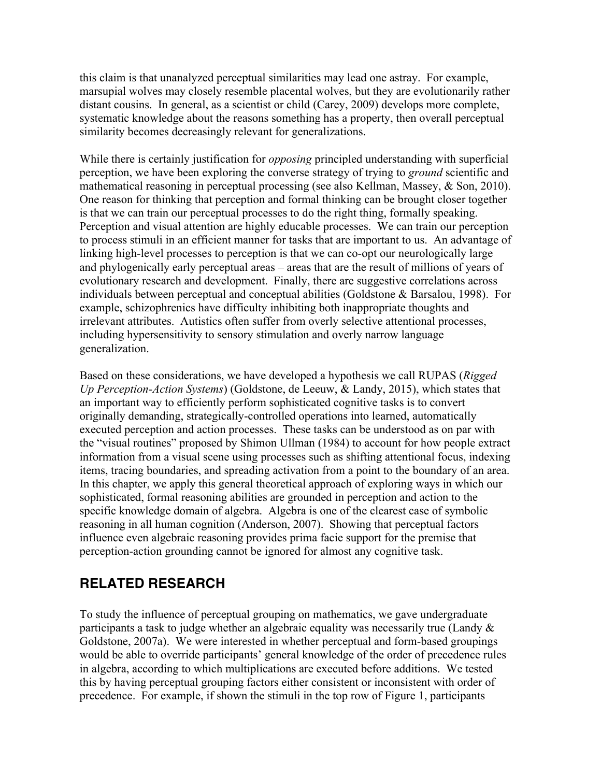this claim is that unanalyzed perceptual similarities may lead one astray. For example, marsupial wolves may closely resemble placental wolves, but they are evolutionarily rather distant cousins. In general, as a scientist or child (Carey, 2009) develops more complete, systematic knowledge about the reasons something has a property, then overall perceptual similarity becomes decreasingly relevant for generalizations.

While there is certainly justification for *opposing* principled understanding with superficial perception, we have been exploring the converse strategy of trying to *ground* scientific and mathematical reasoning in perceptual processing (see also Kellman, Massey, & Son, 2010). One reason for thinking that perception and formal thinking can be brought closer together is that we can train our perceptual processes to do the right thing, formally speaking. Perception and visual attention are highly educable processes. We can train our perception to process stimuli in an efficient manner for tasks that are important to us. An advantage of linking high-level processes to perception is that we can co-opt our neurologically large and phylogenically early perceptual areas – areas that are the result of millions of years of evolutionary research and development. Finally, there are suggestive correlations across individuals between perceptual and conceptual abilities (Goldstone & Barsalou, 1998). For example, schizophrenics have difficulty inhibiting both inappropriate thoughts and irrelevant attributes. Autistics often suffer from overly selective attentional processes, including hypersensitivity to sensory stimulation and overly narrow language generalization.

Based on these considerations, we have developed a hypothesis we call RUPAS (*Rigged Up Perception-Action Systems*) (Goldstone, de Leeuw, & Landy, 2015), which states that an important way to efficiently perform sophisticated cognitive tasks is to convert originally demanding, strategically-controlled operations into learned, automatically executed perception and action processes. These tasks can be understood as on par with the "visual routines" proposed by Shimon Ullman (1984) to account for how people extract information from a visual scene using processes such as shifting attentional focus, indexing items, tracing boundaries, and spreading activation from a point to the boundary of an area. In this chapter, we apply this general theoretical approach of exploring ways in which our sophisticated, formal reasoning abilities are grounded in perception and action to the specific knowledge domain of algebra. Algebra is one of the clearest case of symbolic reasoning in all human cognition (Anderson, 2007). Showing that perceptual factors influence even algebraic reasoning provides prima facie support for the premise that perception-action grounding cannot be ignored for almost any cognitive task.

## **RELATED RESEARCH**

To study the influence of perceptual grouping on mathematics, we gave undergraduate participants a task to judge whether an algebraic equality was necessarily true (Landy & Goldstone, 2007a). We were interested in whether perceptual and form-based groupings would be able to override participants' general knowledge of the order of precedence rules in algebra, according to which multiplications are executed before additions. We tested this by having perceptual grouping factors either consistent or inconsistent with order of precedence. For example, if shown the stimuli in the top row of Figure 1, participants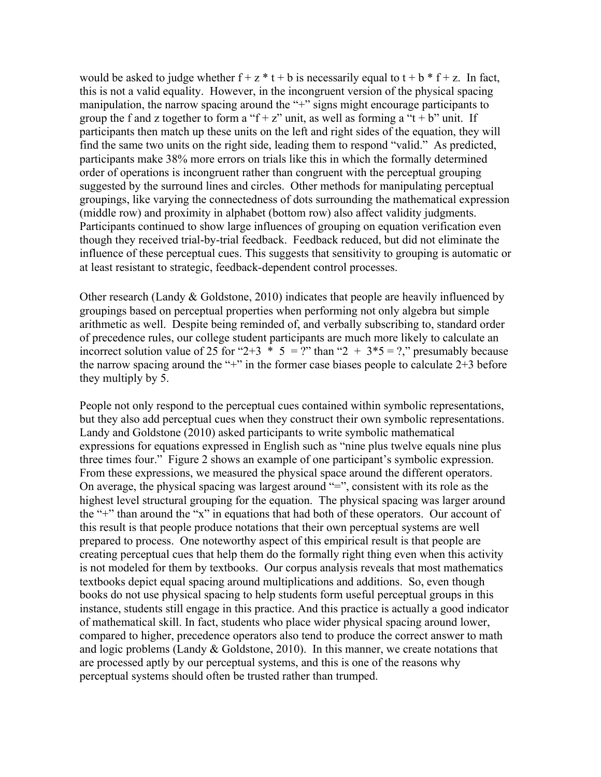would be asked to judge whether  $f + z * t + b$  is necessarily equal to  $t + b * f + z$ . In fact, this is not a valid equality. However, in the incongruent version of the physical spacing manipulation, the narrow spacing around the "+" signs might encourage participants to group the f and z together to form a "f + z" unit, as well as forming a "t + b" unit. If participants then match up these units on the left and right sides of the equation, they will find the same two units on the right side, leading them to respond "valid." As predicted, participants make 38% more errors on trials like this in which the formally determined order of operations is incongruent rather than congruent with the perceptual grouping suggested by the surround lines and circles. Other methods for manipulating perceptual groupings, like varying the connectedness of dots surrounding the mathematical expression (middle row) and proximity in alphabet (bottom row) also affect validity judgments. Participants continued to show large influences of grouping on equation verification even though they received trial-by-trial feedback. Feedback reduced, but did not eliminate the influence of these perceptual cues. This suggests that sensitivity to grouping is automatic or at least resistant to strategic, feedback-dependent control processes.

Other research (Landy & Goldstone, 2010) indicates that people are heavily influenced by groupings based on perceptual properties when performing not only algebra but simple arithmetic as well. Despite being reminded of, and verbally subscribing to, standard order of precedence rules, our college student participants are much more likely to calculate an incorrect solution value of 25 for "2+3  $*$  5 = ?" than "2 + 3 $*$ 5 = ?," presumably because the narrow spacing around the "+" in the former case biases people to calculate  $2+3$  before they multiply by 5.

People not only respond to the perceptual cues contained within symbolic representations, but they also add perceptual cues when they construct their own symbolic representations. Landy and Goldstone (2010) asked participants to write symbolic mathematical expressions for equations expressed in English such as "nine plus twelve equals nine plus three times four." Figure 2 shows an example of one participant's symbolic expression. From these expressions, we measured the physical space around the different operators. On average, the physical spacing was largest around "=", consistent with its role as the highest level structural grouping for the equation. The physical spacing was larger around the "+" than around the "x" in equations that had both of these operators. Our account of this result is that people produce notations that their own perceptual systems are well prepared to process. One noteworthy aspect of this empirical result is that people are creating perceptual cues that help them do the formally right thing even when this activity is not modeled for them by textbooks. Our corpus analysis reveals that most mathematics textbooks depict equal spacing around multiplications and additions. So, even though books do not use physical spacing to help students form useful perceptual groups in this instance, students still engage in this practice. And this practice is actually a good indicator of mathematical skill. In fact, students who place wider physical spacing around lower, compared to higher, precedence operators also tend to produce the correct answer to math and logic problems (Landy & Goldstone, 2010). In this manner, we create notations that are processed aptly by our perceptual systems, and this is one of the reasons why perceptual systems should often be trusted rather than trumped.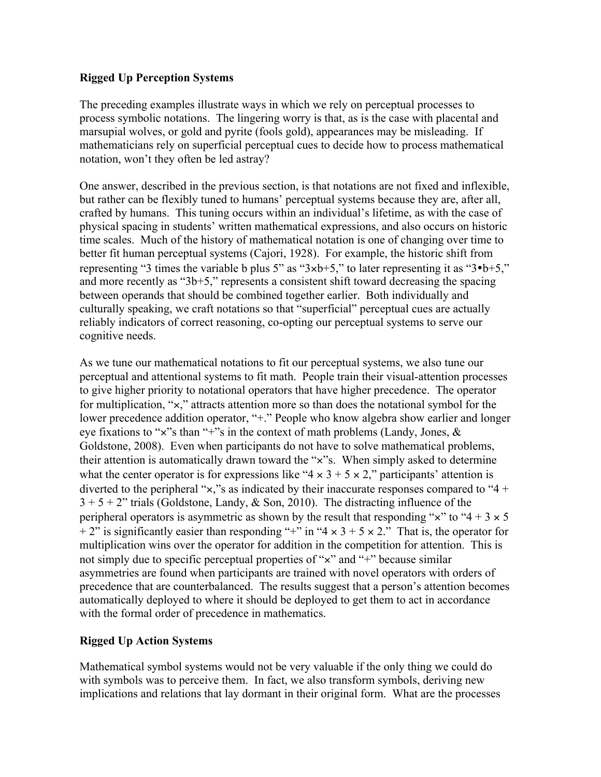#### **Rigged Up Perception Systems**

The preceding examples illustrate ways in which we rely on perceptual processes to process symbolic notations. The lingering worry is that, as is the case with placental and marsupial wolves, or gold and pyrite (fools gold), appearances may be misleading. If mathematicians rely on superficial perceptual cues to decide how to process mathematical notation, won't they often be led astray?

One answer, described in the previous section, is that notations are not fixed and inflexible, but rather can be flexibly tuned to humans' perceptual systems because they are, after all, crafted by humans. This tuning occurs within an individual's lifetime, as with the case of physical spacing in students' written mathematical expressions, and also occurs on historic time scales. Much of the history of mathematical notation is one of changing over time to better fit human perceptual systems (Cajori, 1928). For example, the historic shift from representing "3 times the variable b plus 5" as " $3 \times b + 5$ ," to later representing it as " $3 \cdot b + 5$ ," and more recently as "3b+5," represents a consistent shift toward decreasing the spacing between operands that should be combined together earlier. Both individually and culturally speaking, we craft notations so that "superficial" perceptual cues are actually reliably indicators of correct reasoning, co-opting our perceptual systems to serve our cognitive needs.

As we tune our mathematical notations to fit our perceptual systems, we also tune our perceptual and attentional systems to fit math. People train their visual-attention processes to give higher priority to notational operators that have higher precedence. The operator for multiplication, "×," attracts attention more so than does the notational symbol for the lower precedence addition operator, "+." People who know algebra show earlier and longer eye fixations to "×"s than "+"s in the context of math problems (Landy, Jones, & Goldstone, 2008). Even when participants do not have to solve mathematical problems, their attention is automatically drawn toward the "×"s. When simply asked to determine what the center operator is for expressions like " $4 \times 3 + 5 \times 2$ ," participants' attention is diverted to the peripheral " $\times$ ," s as indicated by their inaccurate responses compared to "4 +  $3 + 5 + 2$ " trials (Goldstone, Landy, & Son, 2010). The distracting influence of the peripheral operators is asymmetric as shown by the result that responding " $\times$ " to "4 + 3  $\times$  5 + 2" is significantly easier than responding "+" in "4  $\times$  3 + 5  $\times$  2." That is, the operator for multiplication wins over the operator for addition in the competition for attention. This is not simply due to specific perceptual properties of "x" and "+" because similar asymmetries are found when participants are trained with novel operators with orders of precedence that are counterbalanced. The results suggest that a person's attention becomes automatically deployed to where it should be deployed to get them to act in accordance with the formal order of precedence in mathematics.

#### **Rigged Up Action Systems**

Mathematical symbol systems would not be very valuable if the only thing we could do with symbols was to perceive them. In fact, we also transform symbols, deriving new implications and relations that lay dormant in their original form. What are the processes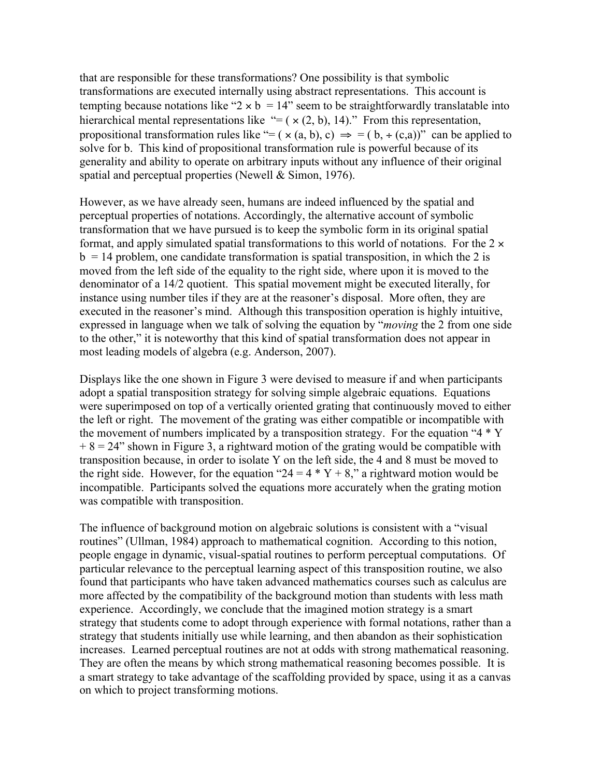that are responsible for these transformations? One possibility is that symbolic transformations are executed internally using abstract representations. This account is tempting because notations like "2  $\times$  b = 14" seem to be straightforwardly translatable into hierarchical mental representations like "=  $(x (2, b), 14)$ ." From this representation, propositional transformation rules like "= ( $\times$  (a, b), c)  $\Rightarrow$  = ( $b, \div$  (c,a))" can be applied to solve for b. This kind of propositional transformation rule is powerful because of its generality and ability to operate on arbitrary inputs without any influence of their original spatial and perceptual properties (Newell & Simon, 1976).

However, as we have already seen, humans are indeed influenced by the spatial and perceptual properties of notations. Accordingly, the alternative account of symbolic transformation that we have pursued is to keep the symbolic form in its original spatial format, and apply simulated spatial transformations to this world of notations. For the  $2 \times$  $b = 14$  problem, one candidate transformation is spatial transposition, in which the 2 is moved from the left side of the equality to the right side, where upon it is moved to the denominator of a 14/2 quotient. This spatial movement might be executed literally, for instance using number tiles if they are at the reasoner's disposal. More often, they are executed in the reasoner's mind. Although this transposition operation is highly intuitive, expressed in language when we talk of solving the equation by "*moving* the 2 from one side to the other," it is noteworthy that this kind of spatial transformation does not appear in most leading models of algebra (e.g. Anderson, 2007).

Displays like the one shown in Figure 3 were devised to measure if and when participants adopt a spatial transposition strategy for solving simple algebraic equations. Equations were superimposed on top of a vertically oriented grating that continuously moved to either the left or right. The movement of the grating was either compatible or incompatible with the movement of numbers implicated by a transposition strategy. For the equation "4  $*$  Y  $+ 8 = 24$ " shown in Figure 3, a rightward motion of the grating would be compatible with transposition because, in order to isolate Y on the left side, the 4 and 8 must be moved to the right side. However, for the equation "24 =  $4 * Y + 8$ ," a rightward motion would be incompatible. Participants solved the equations more accurately when the grating motion was compatible with transposition.

The influence of background motion on algebraic solutions is consistent with a "visual routines" (Ullman, 1984) approach to mathematical cognition. According to this notion, people engage in dynamic, visual-spatial routines to perform perceptual computations. Of particular relevance to the perceptual learning aspect of this transposition routine, we also found that participants who have taken advanced mathematics courses such as calculus are more affected by the compatibility of the background motion than students with less math experience. Accordingly, we conclude that the imagined motion strategy is a smart strategy that students come to adopt through experience with formal notations, rather than a strategy that students initially use while learning, and then abandon as their sophistication increases. Learned perceptual routines are not at odds with strong mathematical reasoning. They are often the means by which strong mathematical reasoning becomes possible. It is a smart strategy to take advantage of the scaffolding provided by space, using it as a canvas on which to project transforming motions.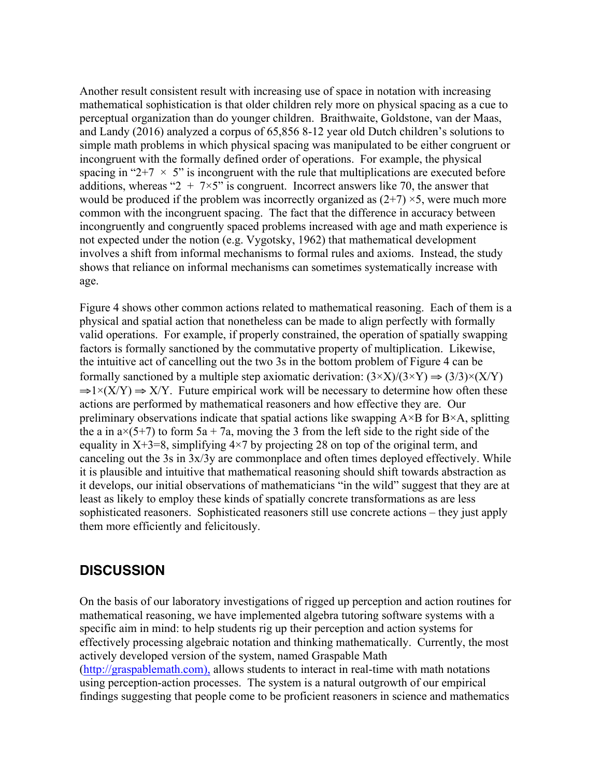Another result consistent result with increasing use of space in notation with increasing mathematical sophistication is that older children rely more on physical spacing as a cue to perceptual organization than do younger children. Braithwaite, Goldstone, van der Maas, and Landy (2016) analyzed a corpus of 65,856 8-12 year old Dutch children's solutions to simple math problems in which physical spacing was manipulated to be either congruent or incongruent with the formally defined order of operations. For example, the physical spacing in "2+7  $\times$  5" is incongruent with the rule that multiplications are executed before additions, whereas " $2 + 7 \times 5$ " is congruent. Incorrect answers like 70, the answer that would be produced if the problem was incorrectly organized as  $(2+7) \times 5$ , were much more common with the incongruent spacing. The fact that the difference in accuracy between incongruently and congruently spaced problems increased with age and math experience is not expected under the notion (e.g. Vygotsky, 1962) that mathematical development involves a shift from informal mechanisms to formal rules and axioms. Instead, the study shows that reliance on informal mechanisms can sometimes systematically increase with age.

Figure 4 shows other common actions related to mathematical reasoning. Each of them is a physical and spatial action that nonetheless can be made to align perfectly with formally valid operations. For example, if properly constrained, the operation of spatially swapping factors is formally sanctioned by the commutative property of multiplication. Likewise, the intuitive act of cancelling out the two 3s in the bottom problem of Figure 4 can be formally sanctioned by a multiple step axiomatic derivation:  $(3 \times X)/(3 \times Y) \rightarrow (3/3) \times (X/Y)$  $\Rightarrow$ 1×(X/Y)  $\Rightarrow$  X/Y. Future empirical work will be necessary to determine how often these actions are performed by mathematical reasoners and how effective they are. Our preliminary observations indicate that spatial actions like swapping  $A \times B$  for  $B \times A$ , splitting the a in  $a \times (5+7)$  to form  $5a + 7a$ , moving the 3 from the left side to the right side of the equality in  $X+3=8$ , simplifying  $4\times7$  by projecting 28 on top of the original term, and canceling out the 3s in 3x/3y are commonplace and often times deployed effectively. While it is plausible and intuitive that mathematical reasoning should shift towards abstraction as it develops, our initial observations of mathematicians "in the wild" suggest that they are at least as likely to employ these kinds of spatially concrete transformations as are less sophisticated reasoners. Sophisticated reasoners still use concrete actions – they just apply them more efficiently and felicitously.

### **DISCUSSION**

On the basis of our laboratory investigations of rigged up perception and action routines for mathematical reasoning, we have implemented algebra tutoring software systems with a specific aim in mind: to help students rig up their perception and action systems for effectively processing algebraic notation and thinking mathematically. Currently, the most actively developed version of the system, named Graspable Math (http://graspablemath.com), allows students to interact in real-time with math notations using perception-action processes. The system is a natural outgrowth of our empirical findings suggesting that people come to be proficient reasoners in science and mathematics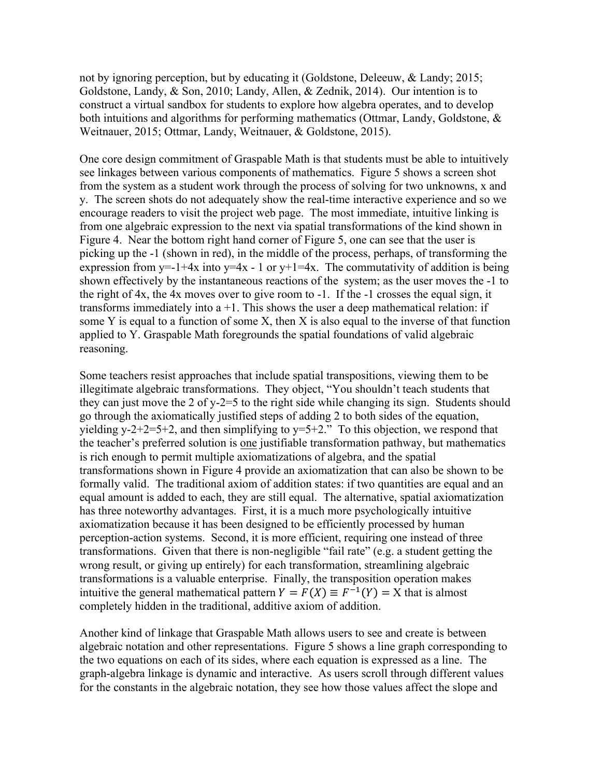not by ignoring perception, but by educating it (Goldstone, Deleeuw, & Landy; 2015; Goldstone, Landy, & Son, 2010; Landy, Allen, & Zednik, 2014). Our intention is to construct a virtual sandbox for students to explore how algebra operates, and to develop both intuitions and algorithms for performing mathematics (Ottmar, Landy, Goldstone, & Weitnauer, 2015; Ottmar, Landy, Weitnauer, & Goldstone, 2015).

One core design commitment of Graspable Math is that students must be able to intuitively see linkages between various components of mathematics. Figure 5 shows a screen shot from the system as a student work through the process of solving for two unknowns, x and y. The screen shots do not adequately show the real-time interactive experience and so we encourage readers to visit the project web page. The most immediate, intuitive linking is from one algebraic expression to the next via spatial transformations of the kind shown in Figure 4. Near the bottom right hand corner of Figure 5, one can see that the user is picking up the -1 (shown in red), in the middle of the process, perhaps, of transforming the expression from  $y=1+4x$  into  $y=4x-1$  or  $y+1=4x$ . The commutativity of addition is being shown effectively by the instantaneous reactions of the system; as the user moves the -1 to the right of 4x, the 4x moves over to give room to -1. If the -1 crosses the equal sign, it transforms immediately into  $a + 1$ . This shows the user a deep mathematical relation: if some Y is equal to a function of some X, then X is also equal to the inverse of that function applied to Y. Graspable Math foregrounds the spatial foundations of valid algebraic reasoning.

Some teachers resist approaches that include spatial transpositions, viewing them to be illegitimate algebraic transformations. They object, "You shouldn't teach students that they can just move the 2 of y-2=5 to the right side while changing its sign. Students should go through the axiomatically justified steps of adding 2 to both sides of the equation, yielding  $y-2+2=5+2$ , and then simplifying to  $y=5+2$ ." To this objection, we respond that the teacher's preferred solution is one justifiable transformation pathway, but mathematics is rich enough to permit multiple axiomatizations of algebra, and the spatial transformations shown in Figure 4 provide an axiomatization that can also be shown to be formally valid. The traditional axiom of addition states: if two quantities are equal and an equal amount is added to each, they are still equal. The alternative, spatial axiomatization has three noteworthy advantages. First, it is a much more psychologically intuitive axiomatization because it has been designed to be efficiently processed by human perception-action systems. Second, it is more efficient, requiring one instead of three transformations. Given that there is non-negligible "fail rate" (e.g. a student getting the wrong result, or giving up entirely) for each transformation, streamlining algebraic transformations is a valuable enterprise. Finally, the transposition operation makes intuitive the general mathematical pattern  $Y = F(X) \equiv F^{-1}(Y) = X$  that is almost completely hidden in the traditional, additive axiom of addition.

Another kind of linkage that Graspable Math allows users to see and create is between algebraic notation and other representations. Figure 5 shows a line graph corresponding to the two equations on each of its sides, where each equation is expressed as a line. The graph-algebra linkage is dynamic and interactive. As users scroll through different values for the constants in the algebraic notation, they see how those values affect the slope and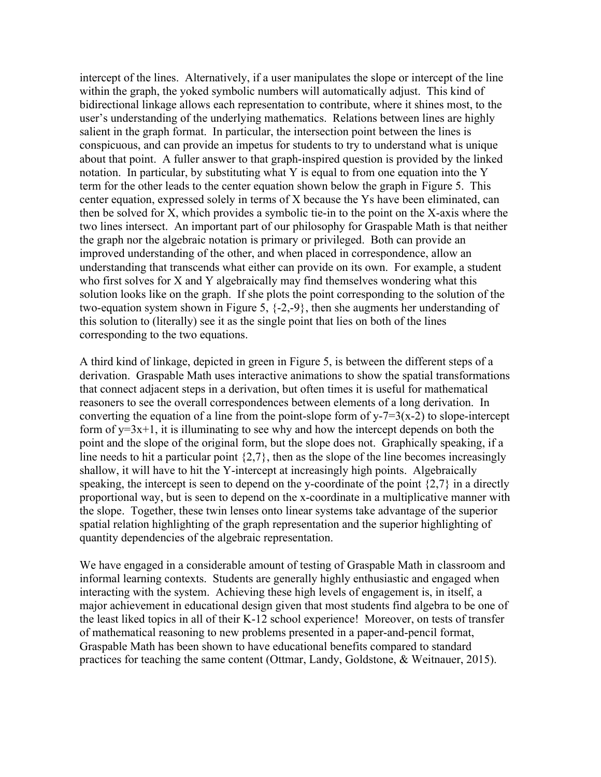intercept of the lines. Alternatively, if a user manipulates the slope or intercept of the line within the graph, the yoked symbolic numbers will automatically adjust. This kind of bidirectional linkage allows each representation to contribute, where it shines most, to the user's understanding of the underlying mathematics. Relations between lines are highly salient in the graph format. In particular, the intersection point between the lines is conspicuous, and can provide an impetus for students to try to understand what is unique about that point. A fuller answer to that graph-inspired question is provided by the linked notation. In particular, by substituting what Y is equal to from one equation into the Y term for the other leads to the center equation shown below the graph in Figure 5. This center equation, expressed solely in terms of X because the Ys have been eliminated, can then be solved for X, which provides a symbolic tie-in to the point on the X-axis where the two lines intersect. An important part of our philosophy for Graspable Math is that neither the graph nor the algebraic notation is primary or privileged. Both can provide an improved understanding of the other, and when placed in correspondence, allow an understanding that transcends what either can provide on its own. For example, a student who first solves for X and Y algebraically may find themselves wondering what this solution looks like on the graph. If she plots the point corresponding to the solution of the two-equation system shown in Figure 5, {-2,-9}, then she augments her understanding of this solution to (literally) see it as the single point that lies on both of the lines corresponding to the two equations.

A third kind of linkage, depicted in green in Figure 5, is between the different steps of a derivation. Graspable Math uses interactive animations to show the spatial transformations that connect adjacent steps in a derivation, but often times it is useful for mathematical reasoners to see the overall correspondences between elements of a long derivation. In converting the equation of a line from the point-slope form of  $y - 7 = 3(x-2)$  to slope-intercept form of  $y=3x+1$ , it is illuminating to see why and how the intercept depends on both the point and the slope of the original form, but the slope does not. Graphically speaking, if a line needs to hit a particular point {2,7}, then as the slope of the line becomes increasingly shallow, it will have to hit the Y-intercept at increasingly high points. Algebraically speaking, the intercept is seen to depend on the y-coordinate of the point {2,7} in a directly proportional way, but is seen to depend on the x-coordinate in a multiplicative manner with the slope. Together, these twin lenses onto linear systems take advantage of the superior spatial relation highlighting of the graph representation and the superior highlighting of quantity dependencies of the algebraic representation.

We have engaged in a considerable amount of testing of Graspable Math in classroom and informal learning contexts. Students are generally highly enthusiastic and engaged when interacting with the system. Achieving these high levels of engagement is, in itself, a major achievement in educational design given that most students find algebra to be one of the least liked topics in all of their K-12 school experience! Moreover, on tests of transfer of mathematical reasoning to new problems presented in a paper-and-pencil format, Graspable Math has been shown to have educational benefits compared to standard practices for teaching the same content (Ottmar, Landy, Goldstone, & Weitnauer, 2015).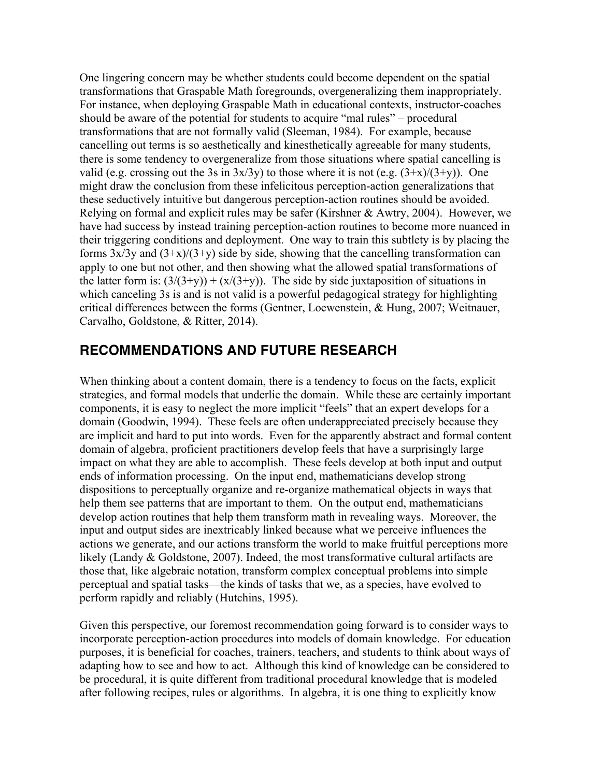One lingering concern may be whether students could become dependent on the spatial transformations that Graspable Math foregrounds, overgeneralizing them inappropriately. For instance, when deploying Graspable Math in educational contexts, instructor-coaches should be aware of the potential for students to acquire "mal rules" – procedural transformations that are not formally valid (Sleeman, 1984). For example, because cancelling out terms is so aesthetically and kinesthetically agreeable for many students, there is some tendency to overgeneralize from those situations where spatial cancelling is valid (e.g. crossing out the 3s in  $3x/3y$ ) to those where it is not (e.g.  $(3+x)/(3+y)$ ). One might draw the conclusion from these infelicitous perception-action generalizations that these seductively intuitive but dangerous perception-action routines should be avoided. Relying on formal and explicit rules may be safer (Kirshner & Awtry, 2004). However, we have had success by instead training perception-action routines to become more nuanced in their triggering conditions and deployment. One way to train this subtlety is by placing the forms  $3x/3y$  and  $(3+x)/(3+y)$  side by side, showing that the cancelling transformation can apply to one but not other, and then showing what the allowed spatial transformations of the latter form is:  $(3/(3+y)) + (x/(3+y))$ . The side by side juxtaposition of situations in which canceling 3s is and is not valid is a powerful pedagogical strategy for highlighting critical differences between the forms (Gentner, Loewenstein, & Hung, 2007; Weitnauer, Carvalho, Goldstone, & Ritter, 2014).

### **RECOMMENDATIONS AND FUTURE RESEARCH**

When thinking about a content domain, there is a tendency to focus on the facts, explicit strategies, and formal models that underlie the domain. While these are certainly important components, it is easy to neglect the more implicit "feels" that an expert develops for a domain (Goodwin, 1994). These feels are often underappreciated precisely because they are implicit and hard to put into words. Even for the apparently abstract and formal content domain of algebra, proficient practitioners develop feels that have a surprisingly large impact on what they are able to accomplish. These feels develop at both input and output ends of information processing. On the input end, mathematicians develop strong dispositions to perceptually organize and re-organize mathematical objects in ways that help them see patterns that are important to them. On the output end, mathematicians develop action routines that help them transform math in revealing ways. Moreover, the input and output sides are inextricably linked because what we perceive influences the actions we generate, and our actions transform the world to make fruitful perceptions more likely (Landy & Goldstone, 2007). Indeed, the most transformative cultural artifacts are those that, like algebraic notation, transform complex conceptual problems into simple perceptual and spatial tasks—the kinds of tasks that we, as a species, have evolved to perform rapidly and reliably (Hutchins, 1995).

Given this perspective, our foremost recommendation going forward is to consider ways to incorporate perception-action procedures into models of domain knowledge. For education purposes, it is beneficial for coaches, trainers, teachers, and students to think about ways of adapting how to see and how to act. Although this kind of knowledge can be considered to be procedural, it is quite different from traditional procedural knowledge that is modeled after following recipes, rules or algorithms. In algebra, it is one thing to explicitly know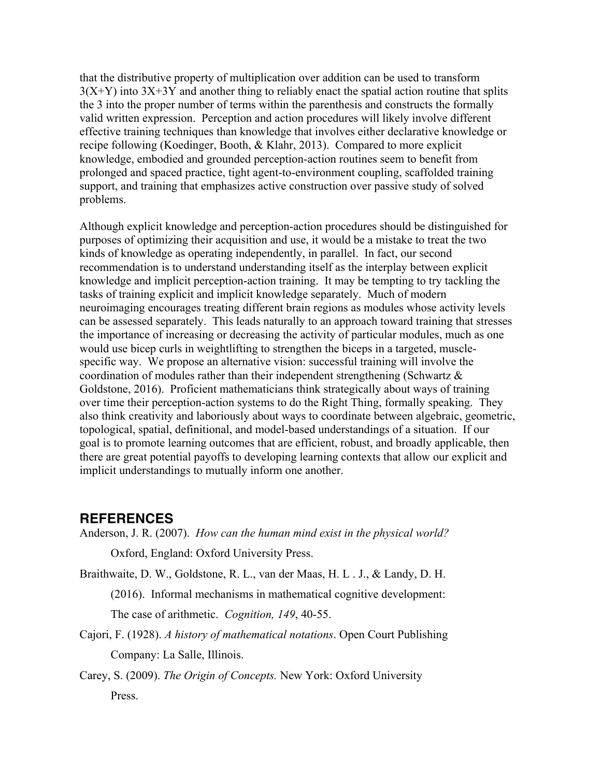that the distributive property of multiplication over addition can be used to transform  $3(X+Y)$  into  $3X+3Y$  and another thing to reliably enact the spatial action routine that splits the 3 into the proper number of terms within the parenthesis and constructs the formally valid written expression. Perception and action procedures will likely involve different effective training techniques than knowledge that involves either declarative knowledge or recipe following (Koedinger, Booth, & Klahr, 2013). Compared to more explicit knowledge, embodied and grounded perception-action routines seem to benefit from prolonged and spaced practice, tight agent-to-environment coupling, scaffolded training support, and training that emphasizes active construction over passive study of solved problems.

Although explicit knowledge and perception-action procedures should be distinguished for purposes of optimizing their acquisition and use, it would be a mistake to treat the two kinds of knowledge as operating independently, in parallel. In fact, our second recommendation is to understand understanding itself as the interplay between explicit knowledge and implicit perception-action training. It may be tempting to try tackling the tasks of training explicit and implicit knowledge separately. Much of modern neuroimaging encourages treating different brain regions as modules whose activity levels can be assessed separately. This leads naturally to an approach toward training that stresses the importance of increasing or decreasing the activity of particular modules, much as one would use bicep curls in weightlifting to strengthen the biceps in a targeted, musclespecific way. We propose an alternative vision: successful training will involve the coordination of modules rather than their independent strengthening (Schwartz & Goldstone, 2016). Proficient mathematicians think strategically about ways of training over time their perception-action systems to do the Right Thing, formally speaking. They also think creativity and laboriously about ways to coordinate between algebraic, geometric, topological, spatial, definitional, and model-based understandings of a situation. If our goal is to promote learning outcomes that are efficient, robust, and broadly applicable, then there are great potential payoffs to developing learning contexts that allow our explicit and implicit understandings to mutually inform one another.

#### **REFERENCES**

Anderson, J. R. (2007). *How can the human mind exist in the physical world?*

Oxford, England: Oxford University Press.

Braithwaite, D. W., Goldstone, R. L., van der Maas, H. L . J., & Landy, D. H.

(2016). Informal mechanisms in mathematical cognitive development:

The case of arithmetic. *Cognition, 149*, 40-55.

Cajori, F. (1928). *A history of mathematical notations*. Open Court Publishing Company: La Salle, Illinois.

Carey, S. (2009). *The Origin of Concepts.* New York: Oxford University Press.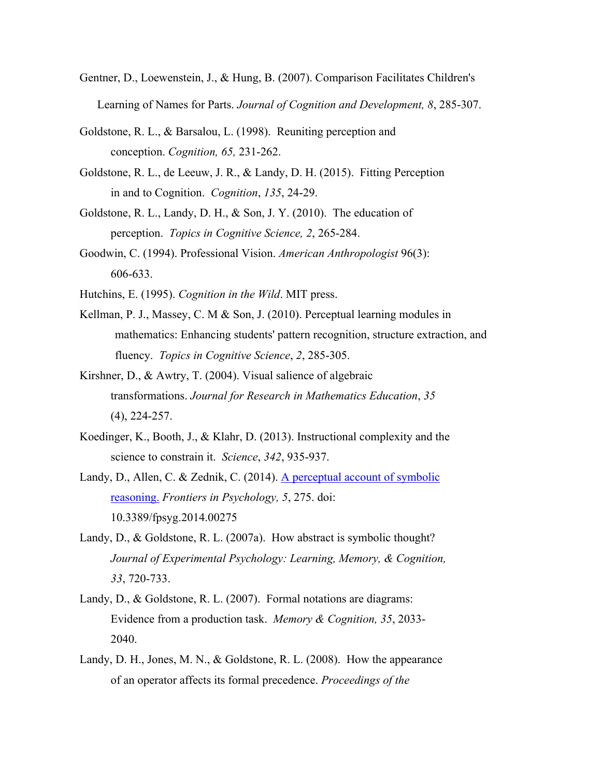- Gentner, D., Loewenstein, J., & Hung, B. (2007). Comparison Facilitates Children's Learning of Names for Parts. *Journal of Cognition and Development, 8*, 285-307.
- Goldstone, R. L., & Barsalou, L. (1998). Reuniting perception and conception. *Cognition, 65,* 231-262.
- Goldstone, R. L., de Leeuw, J. R., & Landy, D. H. (2015). Fitting Perception in and to Cognition. *Cognition*, *135*, 24-29.
- Goldstone, R. L., Landy, D. H., & Son, J. Y. (2010). The education of perception. *Topics in Cognitive Science, 2*, 265-284.
- Goodwin, C. (1994). Professional Vision. *American Anthropologist* 96(3): 606-633.
- Hutchins, E. (1995). *Cognition in the Wild*. MIT press.
- Kellman, P. J., Massey, C. M & Son, J. (2010). Perceptual learning modules in mathematics: Enhancing students' pattern recognition, structure extraction, and fluency. *Topics in Cognitive Science*, *2*, 285-305.
- Kirshner, D., & Awtry, T. (2004). Visual salience of algebraic transformations. *Journal for Research in Mathematics Education*, *35* (4), 224-257.
- Koedinger, K., Booth, J., & Klahr, D. (2013). Instructional complexity and the science to constrain it. *Science*, *342*, 935-937.
- Landy, D., Allen, C. & Zednik, C. (2014). A perceptual account of symbolic reasoning. *Frontiers in Psychology, 5*, 275. doi: 10.3389/fpsyg.2014.00275
- Landy, D., & Goldstone, R. L. (2007a). How abstract is symbolic thought? *Journal of Experimental Psychology: Learning, Memory, & Cognition, 33*, 720-733.
- Landy, D., & Goldstone, R. L. (2007). Formal notations are diagrams: Evidence from a production task. *Memory & Cognition, 35*, 2033- 2040.
- Landy, D. H., Jones, M. N., & Goldstone, R. L. (2008). How the appearance of an operator affects its formal precedence. *Proceedings of the*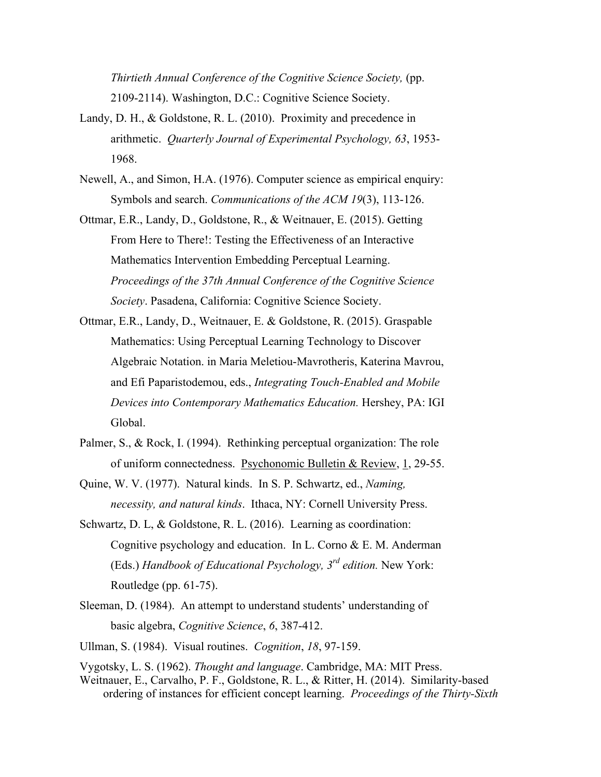*Thirtieth Annual Conference of the Cognitive Science Society,* (pp. 2109-2114). Washington, D.C.: Cognitive Science Society.

- Landy, D. H., & Goldstone, R. L. (2010). Proximity and precedence in arithmetic. *Quarterly Journal of Experimental Psychology, 63*, 1953- 1968.
- Newell, A., and Simon, H.A. (1976). Computer science as empirical enquiry: Symbols and search. *Communications of the ACM 19*(3), 113-126.
- Ottmar, E.R., Landy, D., Goldstone, R., & Weitnauer, E. (2015). Getting From Here to There!: Testing the Effectiveness of an Interactive Mathematics Intervention Embedding Perceptual Learning. *Proceedings of the 37th Annual Conference of the Cognitive Science Society*. Pasadena, California: Cognitive Science Society.
- Ottmar, E.R., Landy, D., Weitnauer, E. & Goldstone, R. (2015). Graspable Mathematics: Using Perceptual Learning Technology to Discover Algebraic Notation. in Maria Meletiou-Mavrotheris, Katerina Mavrou, and Efi Paparistodemou, eds., *Integrating Touch-Enabled and Mobile Devices into Contemporary Mathematics Education.* Hershey, PA: IGI Global.
- Palmer, S., & Rock, I. (1994). Rethinking perceptual organization: The role of uniform connectedness. Psychonomic Bulletin & Review, 1, 29-55.
- Quine, W. V. (1977). Natural kinds. In S. P. Schwartz, ed., *Naming, necessity, and natural kinds*. Ithaca, NY: Cornell University Press.
- Schwartz, D. L, & Goldstone, R. L. (2016). Learning as coordination: Cognitive psychology and education. In L. Corno & E. M. Anderman (Eds.) *Handbook of Educational Psychology, 3rd edition.* New York: Routledge (pp. 61-75).
- Sleeman, D. (1984). An attempt to understand students' understanding of basic algebra, *Cognitive Science*, *6*, 387-412.
- Ullman, S. (1984). Visual routines. *Cognition*, *18*, 97-159.

Vygotsky, L. S. (1962). *Thought and language*. Cambridge, MA: MIT Press. Weitnauer, E., Carvalho, P. F., Goldstone, R. L., & Ritter, H. (2014). Similarity-based ordering of instances for efficient concept learning. *Proceedings of the Thirty-Sixth*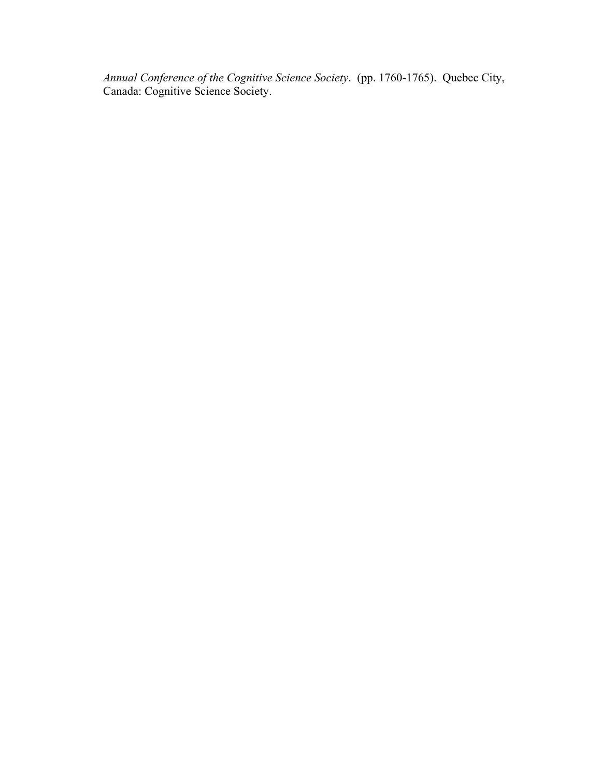*Annual Conference of the Cognitive Science Society*. (pp. 1760-1765). Quebec City, Canada: Cognitive Science Society.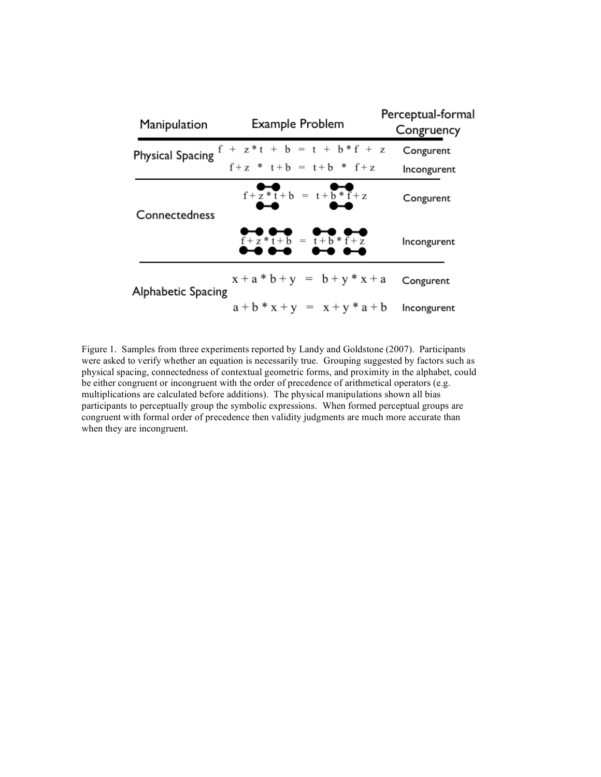| Manipulation       | Example Problem                                  | Perceptual-formal<br>Congruency |
|--------------------|--------------------------------------------------|---------------------------------|
|                    | Physical Spacing $f + z * t + b = t + b * f + z$ | Congurent                       |
|                    | $f + z * t + b = t + b * f + z$                  | Incongurent                     |
| Connectedness      | $f + z * t + b = t + b * f + z$                  | Congurent                       |
|                    | $f + z * t + b = t + b * f + z$                  | Incongurent                     |
| Alphabetic Spacing | $x + a * b + y = b + y * x + a$                  | Congurent                       |
|                    | $a + b * x + y = x + y * a + b$                  | Incongurent                     |

Figure 1. Samples from three experiments reported by Landy and Goldstone (2007). Participants were asked to verify whether an equation is necessarily true. Grouping suggested by factors such as physical spacing, connectedness of contextual geometric forms, and proximity in the alphabet, could be either congruent or incongruent with the order of precedence of arithmetical operators (e.g. multiplications are calculated before additions). The physical manipulations shown all bias participants to perceptually group the symbolic expressions. When formed perceptual groups are congruent with formal order of precedence then validity judgments are much more accurate than when they are incongruent.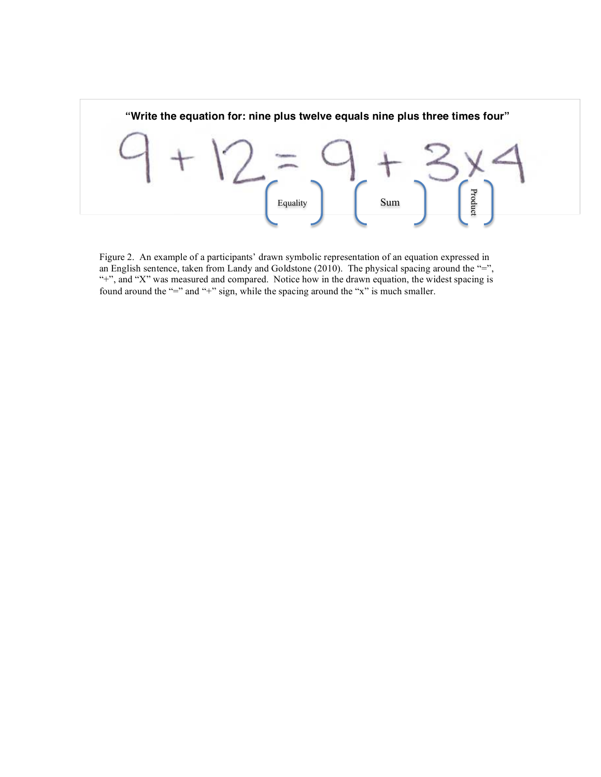

Figure 2. An example of a participants' drawn symbolic representation of an equation expressed in an English sentence, taken from Landy and Goldstone (2010). The physical spacing around the "=", "+", and "X" was measured and compared. Notice how in the drawn equation, the widest spacing is found around the "=" and "+" sign, while the spacing around the "x" is much smaller.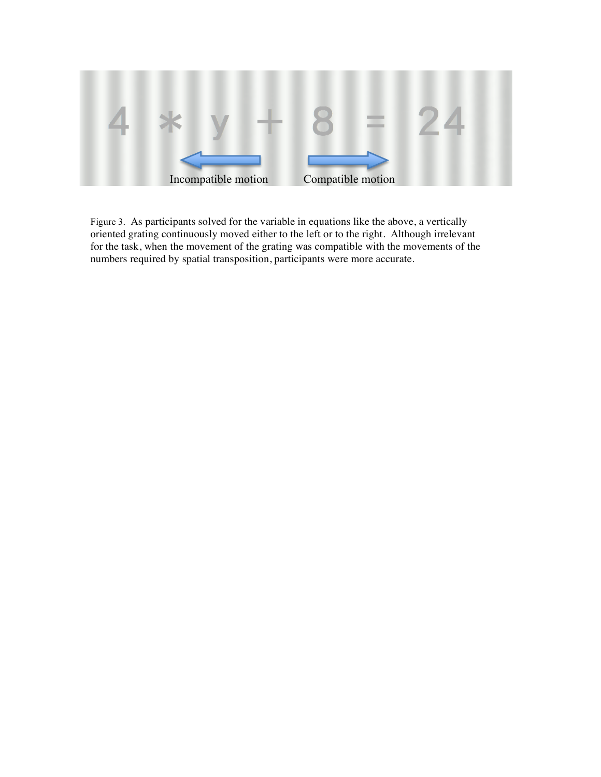

Figure 3. As participants solved for the variable in equations like the above, a vertically oriented grating continuously moved either to the left or to the right. Although irrelevant for the task, when the movement of the grating was compatible with the movements of the numbers required by spatial transposition, participants were more accurate.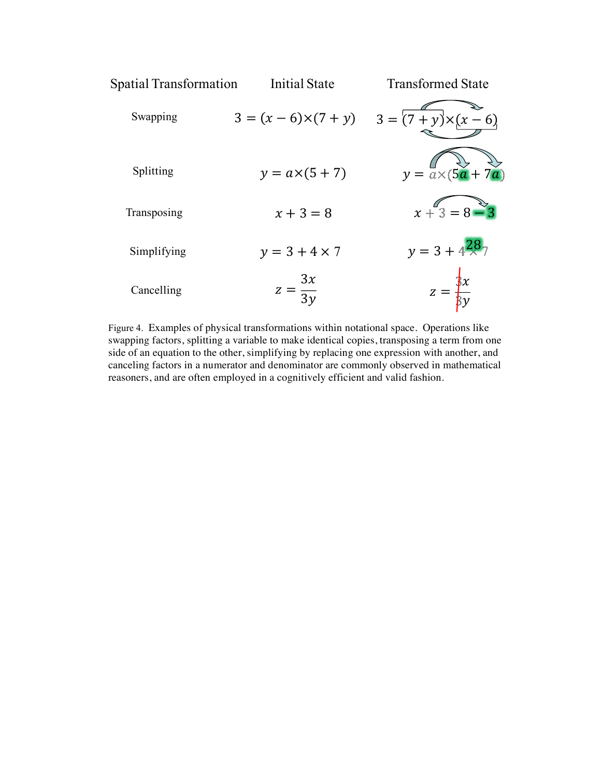

Figure 4. Examples of physical transformations within notational space. Operations like swapping factors, splitting a variable to make identical copies, transposing a term from one side of an equation to the other, simplifying by replacing one expression with another, and canceling factors in a numerator and denominator are commonly observed in mathematical reasoners, and are often employed in a cognitively efficient and valid fashion.